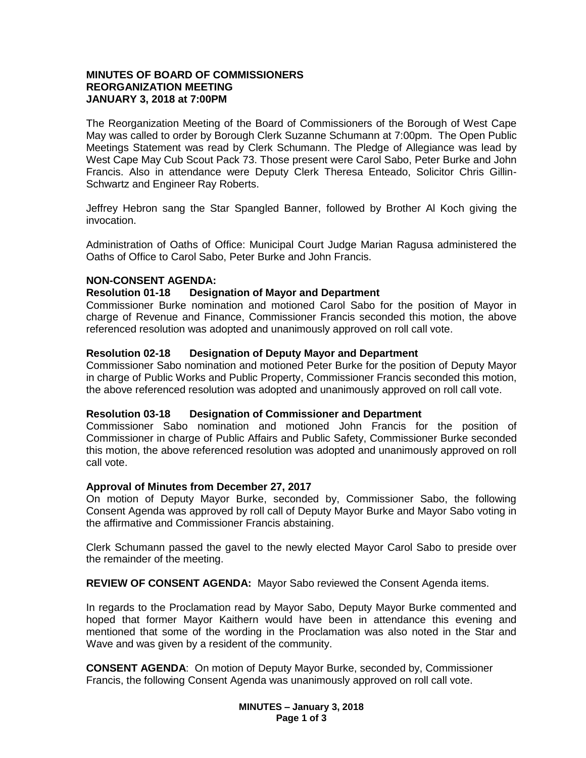## **MINUTES OF BOARD OF COMMISSIONERS REORGANIZATION MEETING JANUARY 3, 2018 at 7:00PM**

The Reorganization Meeting of the Board of Commissioners of the Borough of West Cape May was called to order by Borough Clerk Suzanne Schumann at 7:00pm. The Open Public Meetings Statement was read by Clerk Schumann. The Pledge of Allegiance was lead by West Cape May Cub Scout Pack 73. Those present were Carol Sabo, Peter Burke and John Francis. Also in attendance were Deputy Clerk Theresa Enteado, Solicitor Chris Gillin-Schwartz and Engineer Ray Roberts.

Jeffrey Hebron sang the Star Spangled Banner, followed by Brother Al Koch giving the invocation.

Administration of Oaths of Office: Municipal Court Judge Marian Ragusa administered the Oaths of Office to Carol Sabo, Peter Burke and John Francis.

## **NON-CONSENT AGENDA:**

#### **Resolution 01-18 Designation of Mayor and Department**

Commissioner Burke nomination and motioned Carol Sabo for the position of Mayor in charge of Revenue and Finance, Commissioner Francis seconded this motion, the above referenced resolution was adopted and unanimously approved on roll call vote.

## **Resolution 02-18 Designation of Deputy Mayor and Department**

Commissioner Sabo nomination and motioned Peter Burke for the position of Deputy Mayor in charge of Public Works and Public Property, Commissioner Francis seconded this motion, the above referenced resolution was adopted and unanimously approved on roll call vote.

#### **Resolution 03-18 Designation of Commissioner and Department**

Commissioner Sabo nomination and motioned John Francis for the position of Commissioner in charge of Public Affairs and Public Safety, Commissioner Burke seconded this motion, the above referenced resolution was adopted and unanimously approved on roll call vote.

#### **Approval of Minutes from December 27, 2017**

On motion of Deputy Mayor Burke, seconded by, Commissioner Sabo, the following Consent Agenda was approved by roll call of Deputy Mayor Burke and Mayor Sabo voting in the affirmative and Commissioner Francis abstaining.

Clerk Schumann passed the gavel to the newly elected Mayor Carol Sabo to preside over the remainder of the meeting.

**REVIEW OF CONSENT AGENDA:** Mayor Sabo reviewed the Consent Agenda items.

In regards to the Proclamation read by Mayor Sabo, Deputy Mayor Burke commented and hoped that former Mayor Kaithern would have been in attendance this evening and mentioned that some of the wording in the Proclamation was also noted in the Star and Wave and was given by a resident of the community.

**CONSENT AGENDA**: On motion of Deputy Mayor Burke, seconded by, Commissioner Francis, the following Consent Agenda was unanimously approved on roll call vote.

> **MINUTES – January 3, 2018 Page 1 of 3**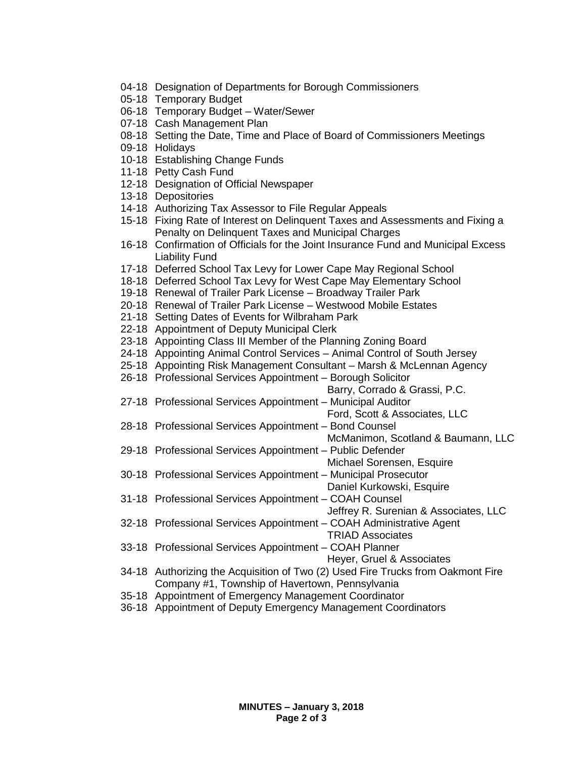- 04-18 Designation of Departments for Borough Commissioners
- 05-18 Temporary Budget
- 06-18 Temporary Budget Water/Sewer
- 07-18 Cash Management Plan
- 08-18 Setting the Date, Time and Place of Board of Commissioners Meetings
- 09-18 Holidays
- 10-18 Establishing Change Funds
- 11-18 Petty Cash Fund
- 12-18 Designation of Official Newspaper
- 13-18 Depositories
- 14-18 Authorizing Tax Assessor to File Regular Appeals
- 15-18 Fixing Rate of Interest on Delinquent Taxes and Assessments and Fixing a Penalty on Delinquent Taxes and Municipal Charges
- 16-18 Confirmation of Officials for the Joint Insurance Fund and Municipal Excess Liability Fund
- 17-18 Deferred School Tax Levy for Lower Cape May Regional School
- 18-18 Deferred School Tax Levy for West Cape May Elementary School
- 19-18 Renewal of Trailer Park License Broadway Trailer Park
- 20-18 Renewal of Trailer Park License Westwood Mobile Estates
- 21-18 Setting Dates of Events for Wilbraham Park
- 22-18 Appointment of Deputy Municipal Clerk
- 23-18 Appointing Class III Member of the Planning Zoning Board
- 24-18 Appointing Animal Control Services Animal Control of South Jersey
- 25-18 Appointing Risk Management Consultant Marsh & McLennan Agency
- 26-18 Professional Services Appointment Borough Solicitor
	- Barry, Corrado & Grassi, P.C.
- 27-18 Professional Services Appointment Municipal Auditor
	- Ford, Scott & Associates, LLC
- 28-18 Professional Services Appointment Bond Counsel
	- McManimon, Scotland & Baumann, LLC
- 29-18 Professional Services Appointment Public Defender
	- Michael Sorensen, Esquire
- 30-18 Professional Services Appointment Municipal Prosecutor
	- Daniel Kurkowski, Esquire
- 31-18 Professional Services Appointment COAH Counsel
	- Jeffrey R. Surenian & Associates, LLC
- 32-18 Professional Services Appointment COAH Administrative Agent
- TRIAD Associates
- 33-18 Professional Services Appointment COAH Planner

Heyer, Gruel & Associates

- 34-18 Authorizing the Acquisition of Two (2) Used Fire Trucks from Oakmont Fire Company #1, Township of Havertown, Pennsylvania
- 35-18 Appointment of Emergency Management Coordinator
- 36-18 Appointment of Deputy Emergency Management Coordinators